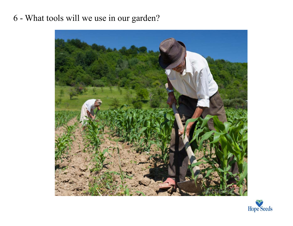## 6 - What tools will we use in our garden?



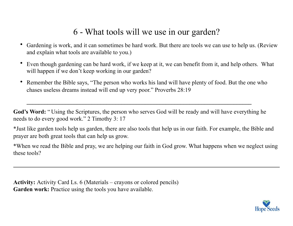## 6 - What tools will we use in our garden?

- Gardening is work, and it can sometimes be hard work. But there are tools we can use to help us. (Review and explain what tools are available to you.)
- Even though gardening can be hard work, if we keep at it, we can benefit from it, and help others. What will happen if we don't keep working in our garden?
- Remember the Bible says, "The person who works his land will have plenty of food. But the one who chases useless dreams instead will end up very poor." Proverbs 28:19

God's Word: "Using the Scriptures, the person who serves God will be ready and will have everything he needs to do every good work." 2 Timothy 3: 17

**\_\_\_\_\_\_\_\_\_\_\_\_\_\_\_\_\_\_\_\_\_\_\_\_\_\_\_\_\_\_\_\_\_\_\_\_\_\_\_\_\_\_\_\_\_\_\_\_\_\_\_\_\_\_\_\_\_\_\_\_\_\_\_\_\_\_\_\_\_\_\_\_\_\_\_\_** 

\*Just like garden tools help us garden, there are also tools that help us in our faith. For example, the Bible and prayer are both great tools that can help us grow.

\*When we read the Bible and pray, we are helping our faith in God grow. What happens when we neglect using these tools?

**Activity:** Activity Card Ls. 6 (Materials – crayons or colored pencils) **Garden work:** Practice using the tools you have available.